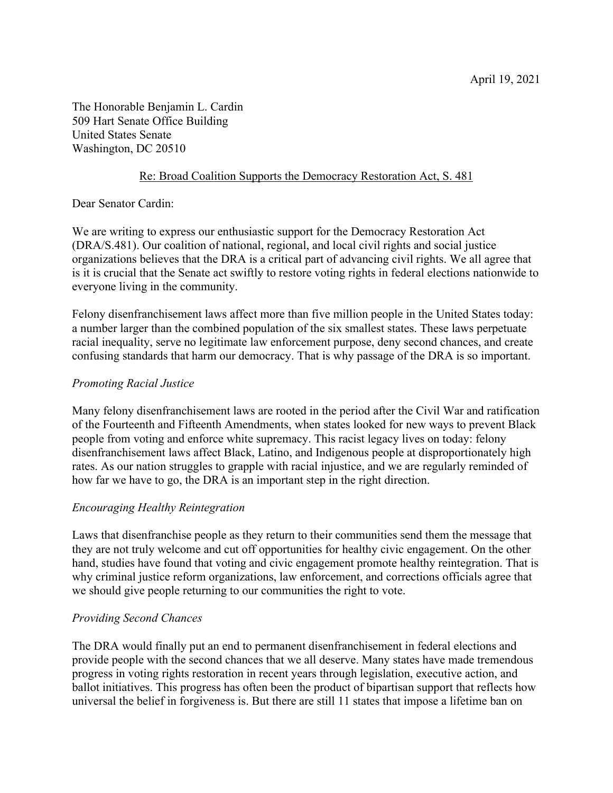The Honorable Benjamin L. Cardin 509 Hart Senate Office Building United States Senate Washington, DC 20510

# Re: Broad Coalition Supports the Democracy Restoration Act, S. 481

Dear Senator Cardin:

We are writing to express our enthusiastic support for the Democracy Restoration Act (DRA/S.481). Our coalition of national, regional, and local civil rights and social justice organizations believes that the DRA is a critical part of advancing civil rights. We all agree that is it is crucial that the Senate act swiftly to restore voting rights in federal elections nationwide to everyone living in the community.

Felony disenfranchisement laws affect more than five million people in the United States today: a number larger than the combined population of the six smallest states. These laws perpetuate racial inequality, serve no legitimate law enforcement purpose, deny second chances, and create confusing standards that harm our democracy. That is why passage of the DRA is so important.

## *Promoting Racial Justice*

Many felony disenfranchisement laws are rooted in the period after the Civil War and ratification of the Fourteenth and Fifteenth Amendments, when states looked for new ways to prevent Black people from voting and enforce white supremacy. This racist legacy lives on today: felony disenfranchisement laws affect Black, Latino, and Indigenous people at disproportionately high rates. As our nation struggles to grapple with racial injustice, and we are regularly reminded of how far we have to go, the DRA is an important step in the right direction.

### *Encouraging Healthy Reintegration*

Laws that disenfranchise people as they return to their communities send them the message that they are not truly welcome and cut off opportunities for healthy civic engagement. On the other hand, studies have found that voting and civic engagement promote healthy reintegration. That is why criminal justice reform organizations, law enforcement, and corrections officials agree that we should give people returning to our communities the right to vote.

### *Providing Second Chances*

The DRA would finally put an end to permanent disenfranchisement in federal elections and provide people with the second chances that we all deserve. Many states have made tremendous progress in voting rights restoration in recent years through legislation, executive action, and ballot initiatives. This progress has often been the product of bipartisan support that reflects how universal the belief in forgiveness is. But there are still 11 states that impose a lifetime ban on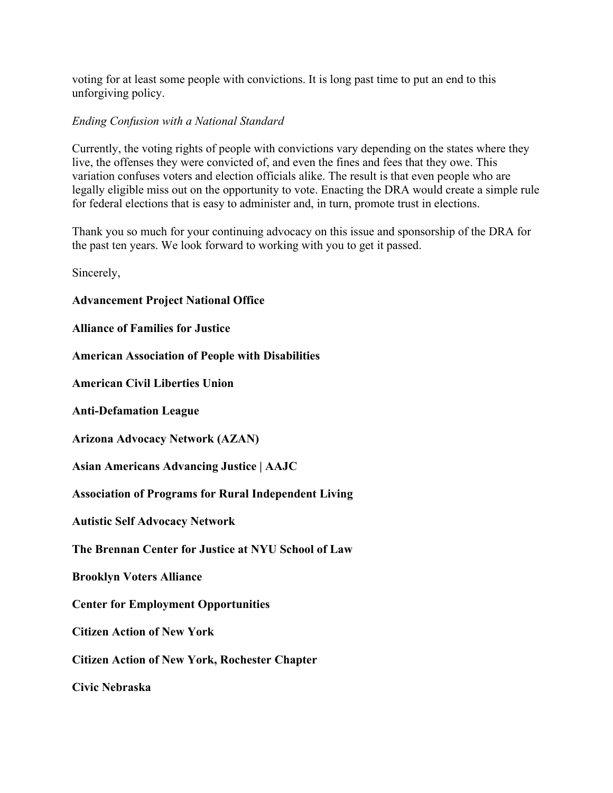voting for at least some people with convictions. It is long past time to put an end to this unforgiving policy.

#### *Ending Confusion with a National Standard*

Currently, the voting rights of people with convictions vary depending on the states where they live, the offenses they were convicted of, and even the fines and fees that they owe. This variation confuses voters and election officials alike. The result is that even people who are legally eligible miss out on the opportunity to vote. Enacting the DRA would create a simple rule for federal elections that is easy to administer and, in turn, promote trust in elections.

Thank you so much for your continuing advocacy on this issue and sponsorship of the DRA for the past ten years. We look forward to working with you to get it passed.

Sincerely,

**Advancement Project National Office**

**Alliance of Families for Justice**

**American Association of People with Disabilities**

**American Civil Liberties Union**

**Anti-Defamation League**

**Arizona Advocacy Network (AZAN)**

**Asian Americans Advancing Justice | AAJC**

**Association of Programs for Rural Independent Living**

**Autistic Self Advocacy Network**

**The Brennan Center for Justice at NYU School of Law**

**Brooklyn Voters Alliance**

**Center for Employment Opportunities**

**Citizen Action of New York**

**Citizen Action of New York, Rochester Chapter**

**Civic Nebraska**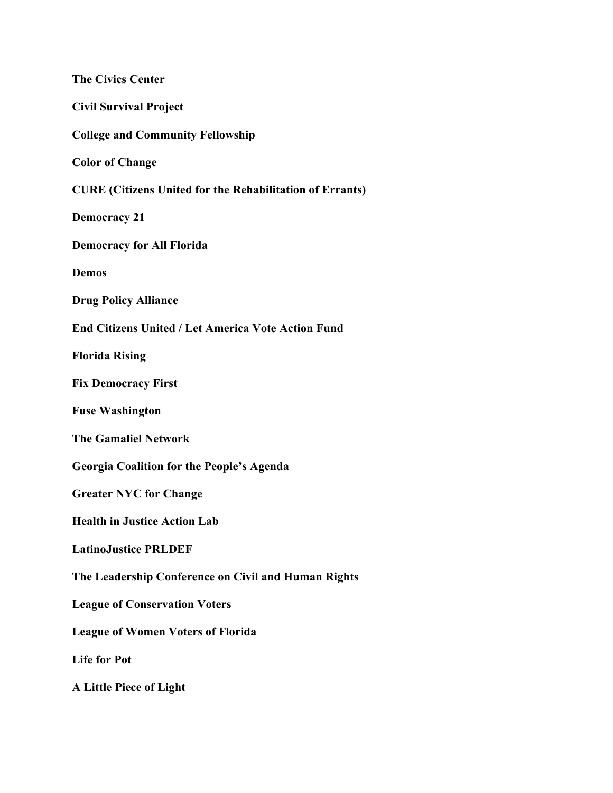| <b>The Civics Center</b>                                        |
|-----------------------------------------------------------------|
| <b>Civil Survival Project</b>                                   |
| <b>College and Community Fellowship</b>                         |
| <b>Color of Change</b>                                          |
| <b>CURE (Citizens United for the Rehabilitation of Errants)</b> |
| <b>Democracy 21</b>                                             |
| <b>Democracy for All Florida</b>                                |
| <b>Demos</b>                                                    |
| <b>Drug Policy Alliance</b>                                     |
| <b>End Citizens United / Let America Vote Action Fund</b>       |
| <b>Florida Rising</b>                                           |
| <b>Fix Democracy First</b>                                      |
| <b>Fuse Washington</b>                                          |
| <b>The Gamaliel Network</b>                                     |
| <b>Georgia Coalition for the People's Agenda</b>                |
| <b>Greater NYC for Change</b>                                   |
| <b>Health in Justice Action Lab</b>                             |
| <b>LatinoJustice PRLDEF</b>                                     |
| The Leadership Conference on Civil and Human Rights             |
| <b>League of Conservation Voters</b>                            |
| <b>League of Women Voters of Florida</b>                        |
| <b>Life for Pot</b>                                             |
| <b>A Little Piece of Light</b>                                  |
|                                                                 |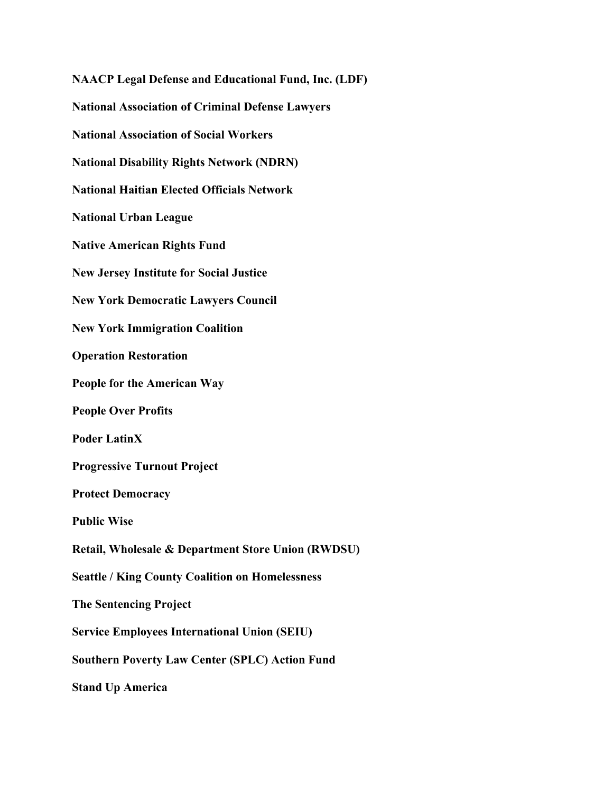**NAACP Legal Defense and Educational Fund, Inc. (LDF) National Association of Criminal Defense Lawyers National Association of Social Workers National Disability Rights Network (NDRN) National Haitian Elected Officials Network National Urban League Native American Rights Fund New Jersey Institute for Social Justice New York Democratic Lawyers Council New York Immigration Coalition Operation Restoration People for the American Way People Over Profits Poder LatinX Progressive Turnout Project Protect Democracy Public Wise Retail, Wholesale & Department Store Union (RWDSU) Seattle / King County Coalition on Homelessness The Sentencing Project Service Employees International Union (SEIU) Southern Poverty Law Center (SPLC) Action Fund Stand Up America**